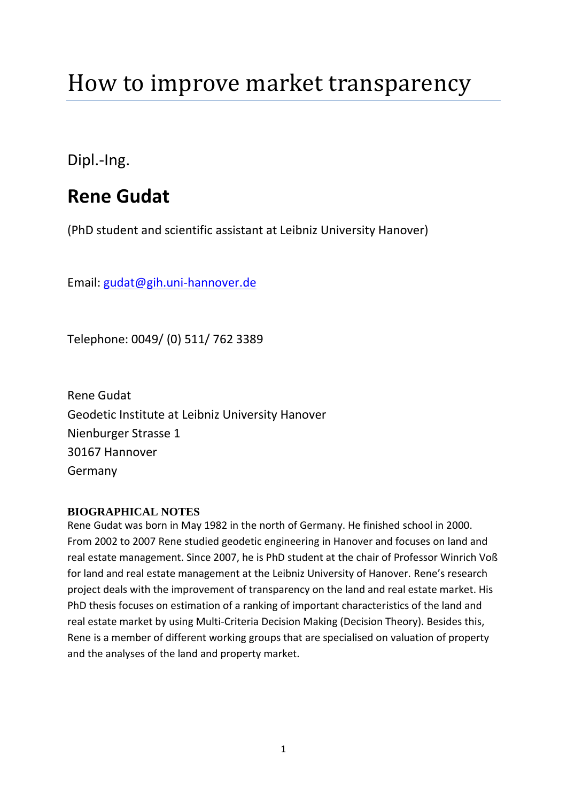## How to improve market transparency

Dipl.-Ing.

### **Rene Gudat**

(PhD student and scientific assistant at Leibniz University Hanover)

Email: [gudat@gih.uni-hannover.de](mailto:gudat@gih.uni-hannover.de)

Telephone: 0049/ (0) 511/ 762 3389

Rene Gudat Geodetic Institute at Leibniz University Hanover Nienburger Strasse 1 30167 Hannover Germany

#### **BIOGRAPHICAL NOTES**

Rene Gudat was born in May 1982 in the north of Germany. He finished school in 2000. From 2002 to 2007 Rene studied geodetic engineering in Hanover and focuses on land and real estate management. Since 2007, he is PhD student at the chair of Professor Winrich Voß for land and real estate management at the Leibniz University of Hanover. Rene's research project deals with the improvement of transparency on the land and real estate market. His PhD thesis focuses on estimation of a ranking of important characteristics of the land and real estate market by using Multi-Criteria Decision Making (Decision Theory). Besides this, Rene is a member of different working groups that are specialised on valuation of property and the analyses of the land and property market.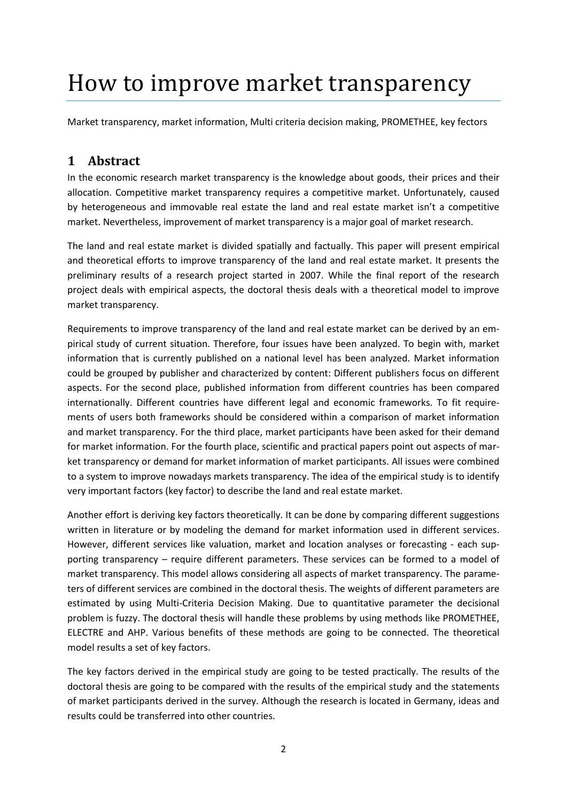# How to improve market transparency

Market transparency, market information, Multi criteria decision making, PROMETHEE, key fectors

#### **1 Abstract**

In the economic research market transparency is the knowledge about goods, their prices and their allocation. Competitive market transparency requires a competitive market. Unfortunately, caused by heterogeneous and immovable real estate the land and real estate market isn't a competitive market. Nevertheless, improvement of market transparency is a major goal of market research.

The land and real estate market is divided spatially and factually. This paper will present empirical and theoretical efforts to improve transparency of the land and real estate market. It presents the preliminary results of a research project started in 2007. While the final report of the research project deals with empirical aspects, the doctoral thesis deals with a theoretical model to improve market transparency.

Requirements to improve transparency of the land and real estate market can be derived by an empirical study of current situation. Therefore, four issues have been analyzed. To begin with, market information that is currently published on a national level has been analyzed. Market information could be grouped by publisher and characterized by content: Different publishers focus on different aspects. For the second place, published information from different countries has been compared internationally. Different countries have different legal and economic frameworks. To fit requirements of users both frameworks should be considered within a comparison of market information and market transparency. For the third place, market participants have been asked for their demand for market information. For the fourth place, scientific and practical papers point out aspects of market transparency or demand for market information of market participants. All issues were combined to a system to improve nowadays markets transparency. The idea of the empirical study is to identify very important factors (key factor) to describe the land and real estate market.

Another effort is deriving key factors theoretically. It can be done by comparing different suggestions written in literature or by modeling the demand for market information used in different services. However, different services like valuation, market and location analyses or forecasting - each supporting transparency – require different parameters. These services can be formed to a model of market transparency. This model allows considering all aspects of market transparency. The parameters of different services are combined in the doctoral thesis. The weights of different parameters are estimated by using Multi-Criteria Decision Making. Due to quantitative parameter the decisional problem is fuzzy. The doctoral thesis will handle these problems by using methods like PROMETHEE, ELECTRE and AHP. Various benefits of these methods are going to be connected. The theoretical model results a set of key factors.

The key factors derived in the empirical study are going to be tested practically. The results of the doctoral thesis are going to be compared with the results of the empirical study and the statements of market participants derived in the survey. Although the research is located in Germany, ideas and results could be transferred into other countries.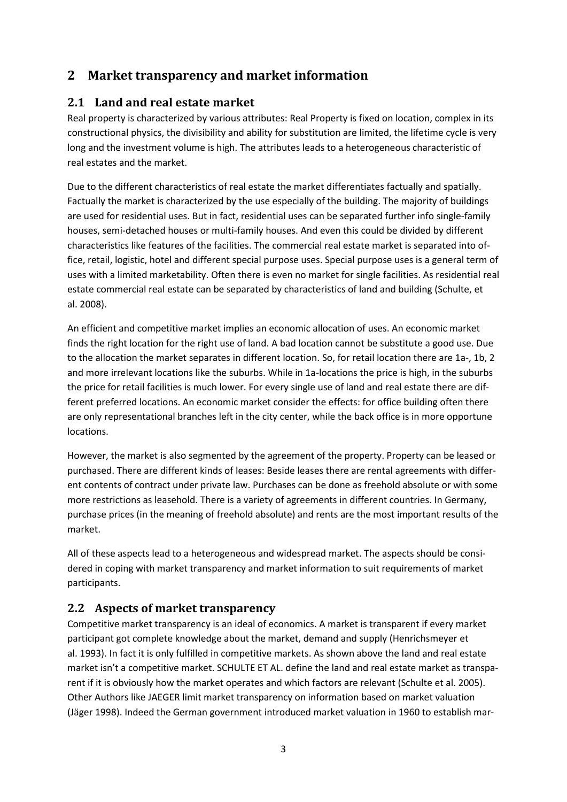#### **2 Market transparency and market information**

#### **2.1 Land and real estate market**

Real property is characterized by various attributes: Real Property is fixed on location, complex in its constructional physics, the divisibility and ability for substitution are limited, the lifetime cycle is very long and the investment volume is high. The attributes leads to a heterogeneous characteristic of real estates and the market.

Due to the different characteristics of real estate the market differentiates factually and spatially. Factually the market is characterized by the use especially of the building. The majority of buildings are used for residential uses. But in fact, residential uses can be separated further info single-family houses, semi-detached houses or multi-family houses. And even this could be divided by different characteristics like features of the facilities. The commercial real estate market is separated into office, retail, logistic, hotel and different special purpose uses. Special purpose uses is a general term of uses with a limited marketability. Often there is even no market for single facilities. As residential real estate commercial real estate can be separated by characteristics of land and building (Schulte, et al. 2008).

An efficient and competitive market implies an economic allocation of uses. An economic market finds the right location for the right use of land. A bad location cannot be substitute a good use. Due to the allocation the market separates in different location. So, for retail location there are 1a-, 1b, 2 and more irrelevant locations like the suburbs. While in 1a-locations the price is high, in the suburbs the price for retail facilities is much lower. For every single use of land and real estate there are different preferred locations. An economic market consider the effects: for office building often there are only representational branches left in the city center, while the back office is in more opportune locations.

However, the market is also segmented by the agreement of the property. Property can be leased or purchased. There are different kinds of leases: Beside leases there are rental agreements with different contents of contract under private law. Purchases can be done as freehold absolute or with some more restrictions as leasehold. There is a variety of agreements in different countries. In Germany, purchase prices (in the meaning of freehold absolute) and rents are the most important results of the market.

All of these aspects lead to a heterogeneous and widespread market. The aspects should be considered in coping with market transparency and market information to suit requirements of market participants.

#### <span id="page-2-0"></span>**2.2 Aspects of market transparency**

Competitive market transparency is an ideal of economics. A market is transparent if every market participant got complete knowledge about the market, demand and supply (Henrichsmeyer et al. 1993). In fact it is only fulfilled in competitive markets. As shown above the land and real estate market isn't a competitive market. SCHULTE ET AL. define the land and real estate market as transparent if it is obviously how the market operates and which factors are relevant (Schulte et al. 2005). Other Authors like JAEGER limit market transparency on information based on market valuation (Jäger 1998). Indeed the German government introduced market valuation in 1960 to establish mar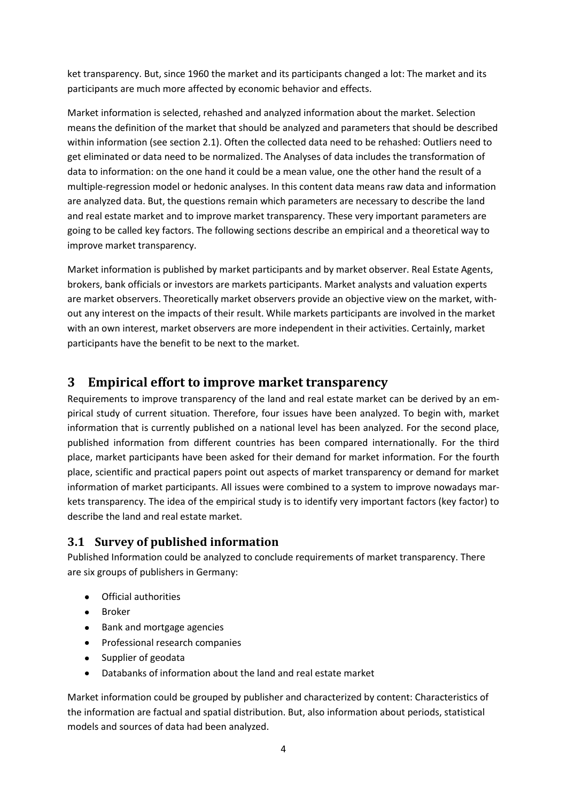ket transparency. But, since 1960 the market and its participants changed a lot: The market and its participants are much more affected by economic behavior and effects.

Market information is selected, rehashed and analyzed information about the market. Selection means the definition of the market that should be analyzed and parameters that should be described within information (see section 2.1). Often the collected data need to be rehashed: Outliers need to get eliminated or data need to be normalized. The Analyses of data includes the transformation of data to information: on the one hand it could be a mean value, one the other hand the result of a multiple-regression model or hedonic analyses. In this content data means raw data and information are analyzed data. But, the questions remain which parameters are necessary to describe the land and real estate market and to improve market transparency. These very important parameters are going to be called key factors. The following sections describe an empirical and a theoretical way to improve market transparency.

Market information is published by market participants and by market observer. Real Estate Agents, brokers, bank officials or investors are markets participants. Market analysts and valuation experts are market observers. Theoretically market observers provide an objective view on the market, without any interest on the impacts of their result. While markets participants are involved in the market with an own interest, market observers are more independent in their activities. Certainly, market participants have the benefit to be next to the market.

#### <span id="page-3-1"></span>**3 Empirical effort to improve market transparency**

<span id="page-3-0"></span>Requirements to improve transparency of the land and real estate market can be derived by an empirical study of current situation. Therefore, four issues have been analyzed. To begin with, market information that is currently published on a national level has been analyzed. For the second place, published information from different countries has been compared internationally. For the third place, market participants have been asked for their demand for market information. For the fourth place, scientific and practical papers point out aspects of market transparency or demand for market information of market participants. All issues were combined to a system to improve nowadays markets transparency. The idea of the empirical study is to identify very important factors (key factor) to describe the land and real estate market.

#### **3.1 Survey of published information**

Published Information could be analyzed to conclude requirements of market transparency. There are six groups of publishers in Germany:

- Official authorities
- Broker
- Bank and mortgage agencies
- Professional research companies
- Supplier of geodata
- Databanks of information about the land and real estate market

Market information could be grouped by publisher and characterized by content: Characteristics of the information are factual and spatial distribution. But, also information about periods, statistical models and sources of data had been analyzed.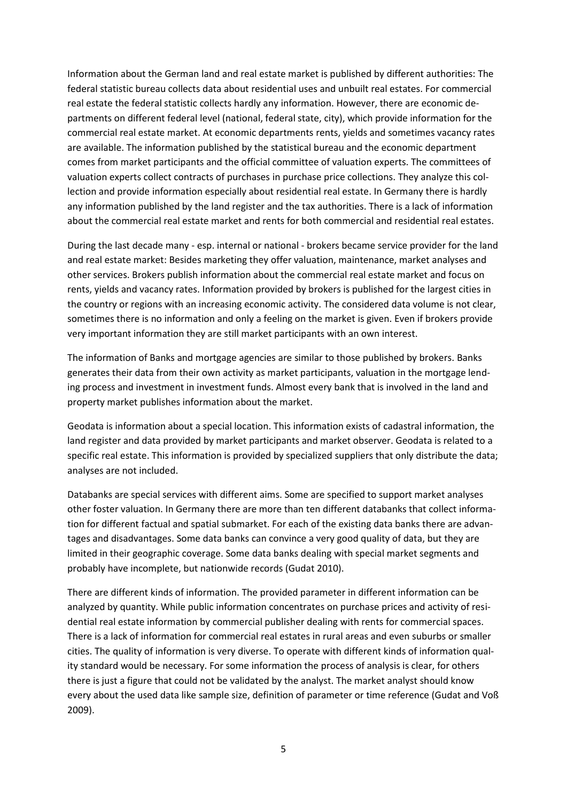Information about the German land and real estate market is published by different authorities: The federal statistic bureau collects data about residential uses and unbuilt real estates. For commercial real estate the federal statistic collects hardly any information. However, there are economic departments on different federal level (national, federal state, city), which provide information for the commercial real estate market. At economic departments rents, yields and sometimes vacancy rates are available. The information published by the statistical bureau and the economic department comes from market participants and the official committee of valuation experts. The committees of valuation experts collect contracts of purchases in purchase price collections. They analyze this collection and provide information especially about residential real estate. In Germany there is hardly any information published by the land register and the tax authorities. There is a lack of information about the commercial real estate market and rents for both commercial and residential real estates.

During the last decade many - esp. internal or national - brokers became service provider for the land and real estate market: Besides marketing they offer valuation, maintenance, market analyses and other services. Brokers publish information about the commercial real estate market and focus on rents, yields and vacancy rates. Information provided by brokers is published for the largest cities in the country or regions with an increasing economic activity. The considered data volume is not clear, sometimes there is no information and only a feeling on the market is given. Even if brokers provide very important information they are still market participants with an own interest.

The information of Banks and mortgage agencies are similar to those published by brokers. Banks generates their data from their own activity as market participants, valuation in the mortgage lending process and investment in investment funds. Almost every bank that is involved in the land and property market publishes information about the market.

Geodata is information about a special location. This information exists of cadastral information, the land register and data provided by market participants and market observer. Geodata is related to a specific real estate. This information is provided by specialized suppliers that only distribute the data; analyses are not included.

Databanks are special services with different aims. Some are specified to support market analyses other foster valuation. In Germany there are more than ten different databanks that collect information for different factual and spatial submarket. For each of the existing data banks there are advantages and disadvantages. Some data banks can convince a very good quality of data, but they are limited in their geographic coverage. Some data banks dealing with special market segments and probably have incomplete, but nationwide records (Gudat 2010).

There are different kinds of information. The provided parameter in different information can be analyzed by quantity. While public information concentrates on purchase prices and activity of residential real estate information by commercial publisher dealing with rents for commercial spaces. There is a lack of information for commercial real estates in rural areas and even suburbs or smaller cities. The quality of information is very diverse. To operate with different kinds of information quality standard would be necessary. For some information the process of analysis is clear, for others there is just a figure that could not be validated by the analyst. The market analyst should know every about the used data like sample size, definition of parameter or time reference (Gudat and Voß 2009).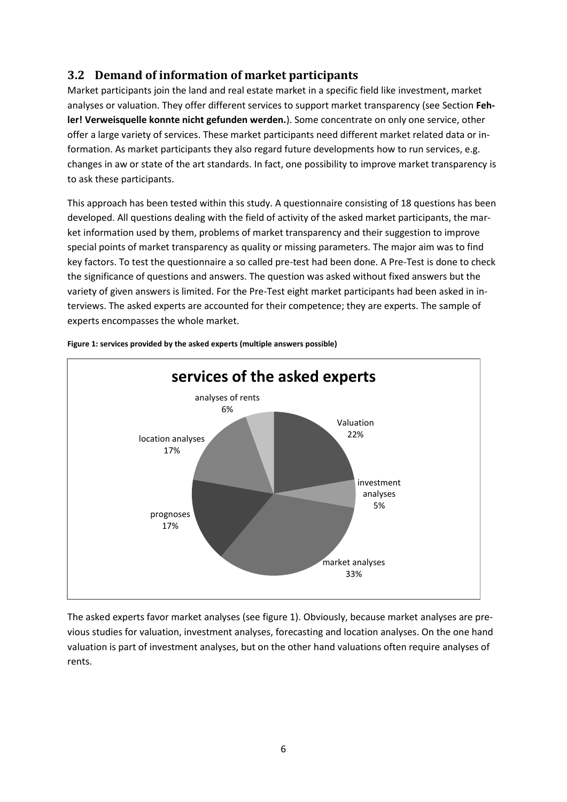#### <span id="page-5-0"></span>**3.2 Demand of information of market participants**

Market participants join the land and real estate market in a specific field like investment, market analyses or valuation. They offer different services to support market transparency (see Section **Fehler! Verweisquelle konnte nicht gefunden werden.**). Some concentrate on only one service, other offer a large variety of services. These market participants need different market related data or information. As market participants they also regard future developments how to run services, e.g. changes in aw or state of the art standards. In fact, one possibility to improve market transparency is to ask these participants.

This approach has been tested within this study. A questionnaire consisting of 18 questions has been developed. All questions dealing with the field of activity of the asked market participants, the market information used by them, problems of market transparency and their suggestion to improve special points of market transparency as quality or missing parameters. The major aim was to find key factors. To test the questionnaire a so called pre-test had been done. A Pre-Test is done to check the significance of questions and answers. The question was asked without fixed answers but the variety of given answers is limited. For the Pre-Test eight market participants had been asked in interviews. The asked experts are accounted for their competence; they are experts. The sample of experts encompasses the whole market.



**Figure 1: services provided by the asked experts (multiple answers possible)**

The asked experts favor market analyses (see figure 1). Obviously, because market analyses are previous studies for valuation, investment analyses, forecasting and location analyses. On the one hand valuation is part of investment analyses, but on the other hand valuations often require analyses of rents.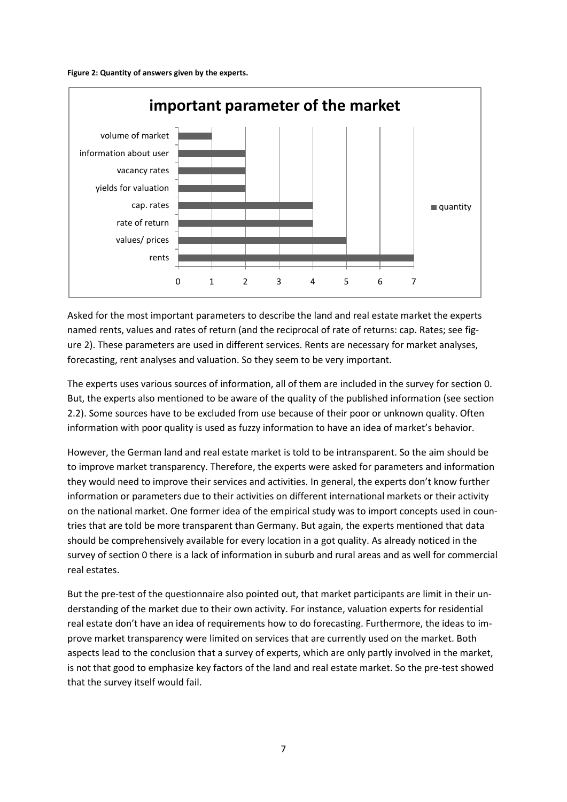



Asked for the most important parameters to describe the land and real estate market the experts named rents, values and rates of return (and the reciprocal of rate of returns: cap. Rates; see figure 2). These parameters are used in different services. Rents are necessary for market analyses, forecasting, rent analyses and valuation. So they seem to be very important.

The experts uses various sources of information, all of them are included in the survey for section [0.](#page-3-0) But, the experts also mentioned to be aware of the quality of the published information (see section [2.2\)](#page-2-0). Some sources have to be excluded from use because of their poor or unknown quality. Often information with poor quality is used as fuzzy information to have an idea of market's behavior.

However, the German land and real estate market is told to be intransparent. So the aim should be to improve market transparency. Therefore, the experts were asked for parameters and information they would need to improve their services and activities. In general, the experts don't know further information or parameters due to their activities on different international markets or their activity on the national market. One former idea of the empirical study was to import concepts used in countries that are told be more transparent than Germany. But again, the experts mentioned that data should be comprehensively available for every location in a got quality. As already noticed in the survey of section [0](#page-3-0) there is a lack of information in suburb and rural areas and as well for commercial real estates.

But the pre-test of the questionnaire also pointed out, that market participants are limit in their understanding of the market due to their own activity. For instance, valuation experts for residential real estate don't have an idea of requirements how to do forecasting. Furthermore, the ideas to improve market transparency were limited on services that are currently used on the market. Both aspects lead to the conclusion that a survey of experts, which are only partly involved in the market, is not that good to emphasize key factors of the land and real estate market. So the pre-test showed that the survey itself would fail.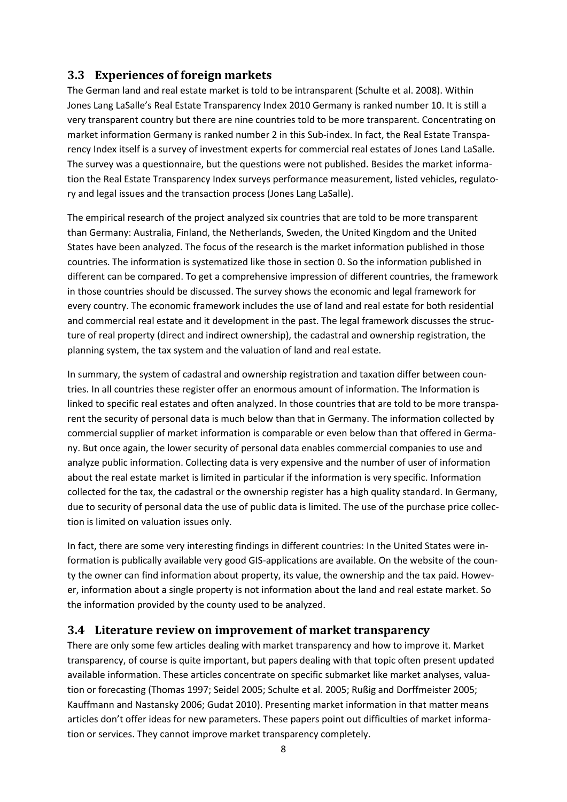#### **3.3 Experiences of foreign markets**

The German land and real estate market is told to be intransparent (Schulte et al. 2008). Within Jones Lang LaSalle's Real Estate Transparency Index 2010 Germany is ranked number 10. It is still a very transparent country but there are nine countries told to be more transparent. Concentrating on market information Germany is ranked number 2 in this Sub-index. In fact, the Real Estate Transparency Index itself is a survey of investment experts for commercial real estates of Jones Land LaSalle. The survey was a questionnaire, but the questions were not published. Besides the market information the Real Estate Transparency Index surveys performance measurement, listed vehicles, regulatory and legal issues and the transaction process (Jones Lang LaSalle).

The empirical research of the project analyzed six countries that are told to be more transparent than Germany: Australia, Finland, the Netherlands, Sweden, the United Kingdom and the United States have been analyzed. The focus of the research is the market information published in those countries. The information is systematized like those in section [0.](#page-3-0) So the information published in different can be compared. To get a comprehensive impression of different countries, the framework in those countries should be discussed. The survey shows the economic and legal framework for every country. The economic framework includes the use of land and real estate for both residential and commercial real estate and it development in the past. The legal framework discusses the structure of real property (direct and indirect ownership), the cadastral and ownership registration, the planning system, the tax system and the valuation of land and real estate.

In summary, the system of cadastral and ownership registration and taxation differ between countries. In all countries these register offer an enormous amount of information. The Information is linked to specific real estates and often analyzed. In those countries that are told to be more transparent the security of personal data is much below than that in Germany. The information collected by commercial supplier of market information is comparable or even below than that offered in Germany. But once again, the lower security of personal data enables commercial companies to use and analyze public information. Collecting data is very expensive and the number of user of information about the real estate market is limited in particular if the information is very specific. Information collected for the tax, the cadastral or the ownership register has a high quality standard. In Germany, due to security of personal data the use of public data is limited. The use of the purchase price collection is limited on valuation issues only.

In fact, there are some very interesting findings in different countries: In the United States were information is publically available very good GIS-applications are available. On the website of the county the owner can find information about property, its value, the ownership and the tax paid. However, information about a single property is not information about the land and real estate market. So the information provided by the county used to be analyzed.

#### <span id="page-7-0"></span>**3.4 Literature review on improvement of market transparency**

There are only some few articles dealing with market transparency and how to improve it. Market transparency, of course is quite important, but papers dealing with that topic often present updated available information. These articles concentrate on specific submarket like market analyses, valuation or forecasting (Thomas 1997; Seidel 2005; Schulte et al. 2005; Rußig and Dorffmeister 2005; Kauffmann and Nastansky 2006; Gudat 2010). Presenting market information in that matter means articles don't offer ideas for new parameters. These papers point out difficulties of market information or services. They cannot improve market transparency completely.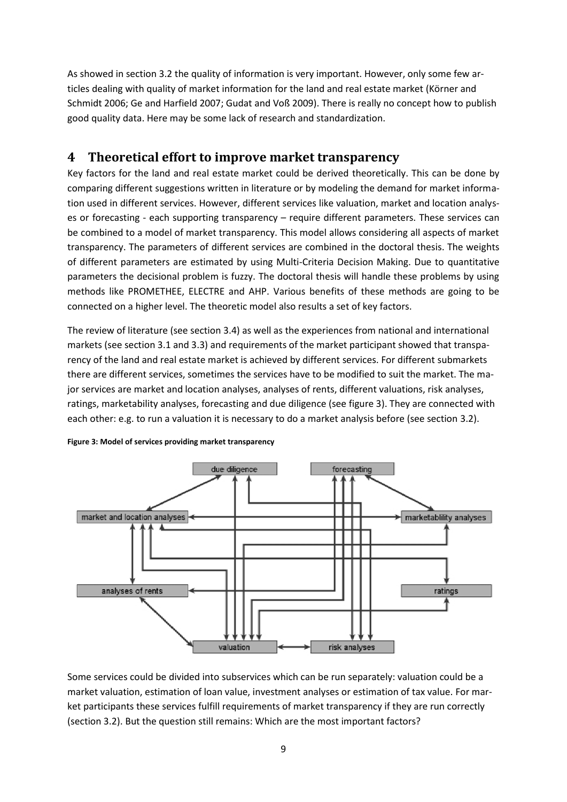As showed in section [3.2](#page-5-0) the quality of information is very important. However, only some few articles dealing with quality of market information for the land and real estate market (Körner and Schmidt 2006; Ge and Harfield 2007; Gudat and Voß 2009). There is really no concept how to publish good quality data. Here may be some lack of research and standardization.

#### <span id="page-8-0"></span>**4 Theoretical effort to improve market transparency**

Key factors for the land and real estate market could be derived theoretically. This can be done by comparing different suggestions written in literature or by modeling the demand for market information used in different services. However, different services like valuation, market and location analyses or forecasting - each supporting transparency – require different parameters. These services can be combined to a model of market transparency. This model allows considering all aspects of market transparency. The parameters of different services are combined in the doctoral thesis. The weights of different parameters are estimated by using Multi-Criteria Decision Making. Due to quantitative parameters the decisional problem is fuzzy. The doctoral thesis will handle these problems by using methods like PROMETHEE, ELECTRE and AHP. Various benefits of these methods are going to be connected on a higher level. The theoretic model also results a set of key factors.

The review of literature (see sectio[n 3.4\)](#page-7-0) as well as the experiences from national and international markets (see section 3.1 and 3.3) and requirements of the market participant showed that transparency of the land and real estate market is achieved by different services. For different submarkets there are different services, sometimes the services have to be modified to suit the market. The major services are market and location analyses, analyses of rents, different valuations, risk analyses, ratings, marketability analyses, forecasting and due diligence (see figure 3). They are connected with each other: e.g. to run a valuation it is necessary to do a market analysis before (see section [3.2\)](#page-5-0).



**Figure 3: Model of services providing market transparency**

Some services could be divided into subservices which can be run separately: valuation could be a market valuation, estimation of loan value, investment analyses or estimation of tax value. For market participants these services fulfill requirements of market transparency if they are run correctly (section [3.2\)](#page-5-0). But the question still remains: Which are the most important factors?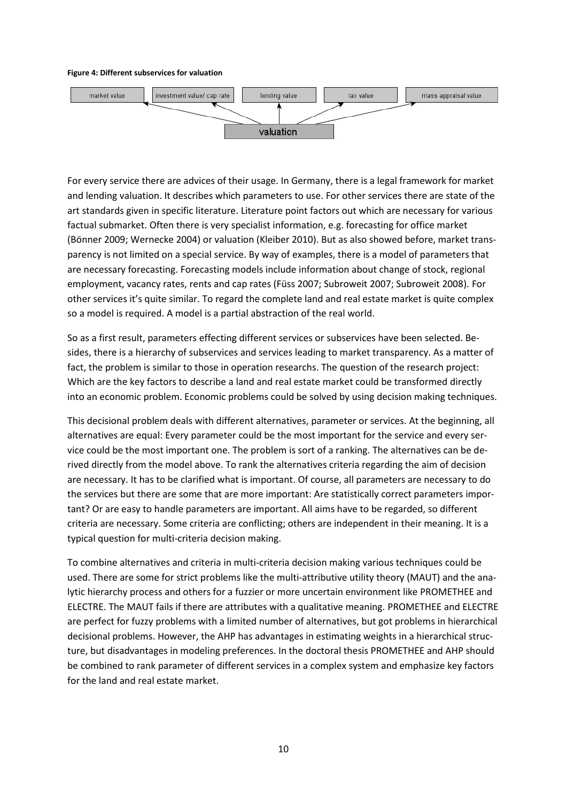#### **Figure 4: Different subservices for valuation**



For every service there are advices of their usage. In Germany, there is a legal framework for market and lending valuation. It describes which parameters to use. For other services there are state of the art standards given in specific literature. Literature point factors out which are necessary for various factual submarket. Often there is very specialist information, e.g. forecasting for office market (Bönner 2009; Wernecke 2004) or valuation (Kleiber 2010). But as also showed before, market transparency is not limited on a special service. By way of examples, there is a model of parameters that are necessary forecasting. Forecasting models include information about change of stock, regional employment, vacancy rates, rents and cap rates (Füss 2007; Subroweit 2007; Subroweit 2008). For other services it's quite similar. To regard the complete land and real estate market is quite complex so a model is required. A model is a partial abstraction of the real world.

So as a first result, parameters effecting different services or subservices have been selected. Besides, there is a hierarchy of subservices and services leading to market transparency. As a matter of fact, the problem is similar to those in operation researchs. The question of the research project: Which are the key factors to describe a land and real estate market could be transformed directly into an economic problem. Economic problems could be solved by using decision making techniques.

This decisional problem deals with different alternatives, parameter or services. At the beginning, all alternatives are equal: Every parameter could be the most important for the service and every service could be the most important one. The problem is sort of a ranking. The alternatives can be derived directly from the model above. To rank the alternatives criteria regarding the aim of decision are necessary. It has to be clarified what is important. Of course, all parameters are necessary to do the services but there are some that are more important: Are statistically correct parameters important? Or are easy to handle parameters are important. All aims have to be regarded, so different criteria are necessary. Some criteria are conflicting; others are independent in their meaning. It is a typical question for multi-criteria decision making.

To combine alternatives and criteria in multi-criteria decision making various techniques could be used. There are some for strict problems like the multi-attributive utility theory (MAUT) and the analytic hierarchy process and others for a fuzzier or more uncertain environment like PROMETHEE and ELECTRE. The MAUT fails if there are attributes with a qualitative meaning. PROMETHEE and ELECTRE are perfect for fuzzy problems with a limited number of alternatives, but got problems in hierarchical decisional problems. However, the AHP has advantages in estimating weights in a hierarchical structure, but disadvantages in modeling preferences. In the doctoral thesis PROMETHEE and AHP should be combined to rank parameter of different services in a complex system and emphasize key factors for the land and real estate market.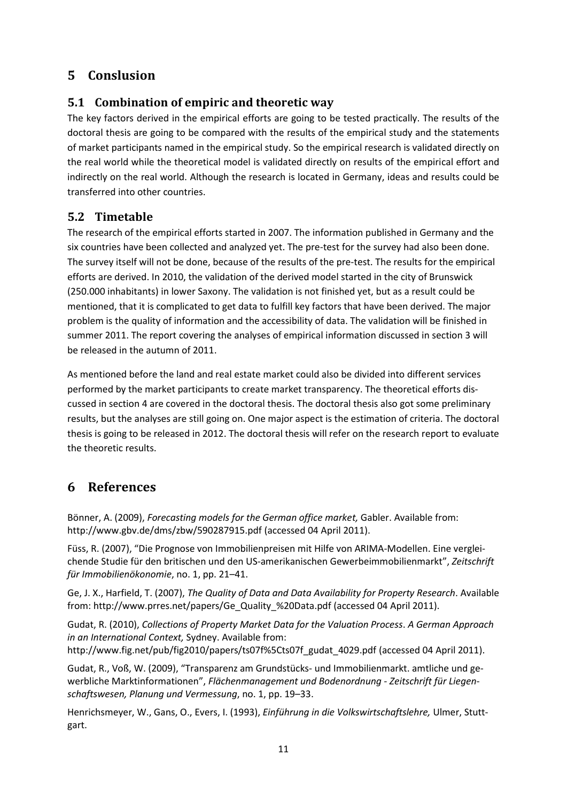### **5 Conslusion**

#### **5.1 Combination of empiric and theoretic way**

The key factors derived in the empirical efforts are going to be tested practically. The results of the doctoral thesis are going to be compared with the results of the empirical study and the statements of market participants named in the empirical study. So the empirical research is validated directly on the real world while the theoretical model is validated directly on results of the empirical effort and indirectly on the real world. Although the research is located in Germany, ideas and results could be transferred into other countries.

#### **5.2 Timetable**

The research of the empirical efforts started in 2007. The information published in Germany and the six countries have been collected and analyzed yet. The pre-test for the survey had also been done. The survey itself will not be done, because of the results of the pre-test. The results for the empirical efforts are derived. In 2010, the validation of the derived model started in the city of Brunswick (250.000 inhabitants) in lower Saxony. The validation is not finished yet, but as a result could be mentioned, that it is complicated to get data to fulfill key factors that have been derived. The major problem is the quality of information and the accessibility of data. The validation will be finished in summer 2011. The report covering the analyses of empirical information discussed in sectio[n 3](#page-3-1) will be released in the autumn of 2011.

As mentioned before the land and real estate market could also be divided into different services performed by the market participants to create market transparency. The theoretical efforts discussed in section [4](#page-8-0) are covered in the doctoral thesis. The doctoral thesis also got some preliminary results, but the analyses are still going on. One major aspect is the estimation of criteria. The doctoral thesis is going to be released in 2012. The doctoral thesis will refer on the research report to evaluate the theoretic results.

### **6 References**

Bönner, A. (2009), *Forecasting models for the German office market,* Gabler. Available from: http://www.gbv.de/dms/zbw/590287915.pdf (accessed 04 April 2011).

Füss, R. (2007), "Die Prognose von Immobilienpreisen mit Hilfe von ARIMA-Modellen. Eine vergleichende Studie für den britischen und den US-amerikanischen Gewerbeimmobilienmarkt", *Zeitschrift für Immobilienökonomie*, no. 1, pp. 21–41.

Ge, J. X., Harfield, T. (2007), *The Quality of Data and Data Availability for Property Research*. Available from: http://www.prres.net/papers/Ge\_Quality\_%20Data.pdf (accessed 04 April 2011).

Gudat, R. (2010), *Collections of Property Market Data for the Valuation Process*. *A German Approach in an International Context,* Sydney. Available from: http://www.fig.net/pub/fig2010/papers/ts07f%5Cts07f\_gudat\_4029.pdf (accessed 04 April 2011).

Gudat, R., Voß, W. (2009), "Transparenz am Grundstücks- und Immobilienmarkt. amtliche und gewerbliche Marktinformationen", *Flächenmanagement und Bodenordnung - Zeitschrift für Liegen-*

*schaftswesen, Planung und Vermessung*, no. 1, pp. 19–33. Henrichsmeyer, W., Gans, O., Evers, I. (1993), *Einführung in die Volkswirtschaftslehre,* Ulmer, Stuttgart.